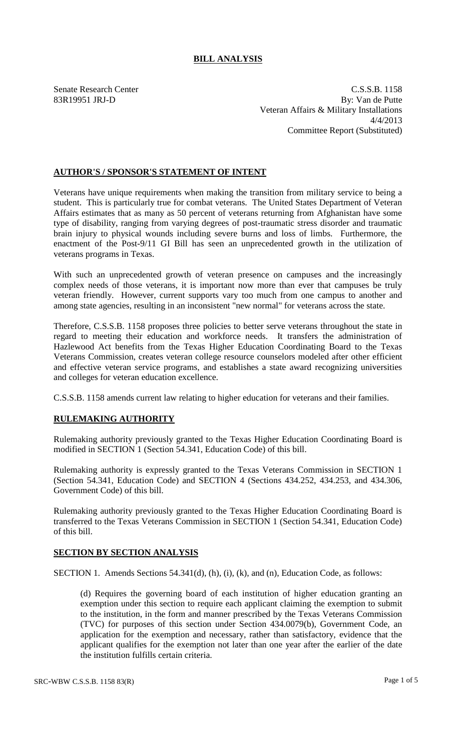### **BILL ANALYSIS**

Senate Research Center C.S.S.B. 1158 83R19951 JRJ-D By: Van de Putte Veteran Affairs & Military Installations 4/4/2013 Committee Report (Substituted)

#### **AUTHOR'S / SPONSOR'S STATEMENT OF INTENT**

Veterans have unique requirements when making the transition from military service to being a student. This is particularly true for combat veterans. The United States Department of Veteran Affairs estimates that as many as 50 percent of veterans returning from Afghanistan have some type of disability, ranging from varying degrees of post-traumatic stress disorder and traumatic brain injury to physical wounds including severe burns and loss of limbs. Furthermore, the enactment of the Post-9/11 GI Bill has seen an unprecedented growth in the utilization of veterans programs in Texas.

With such an unprecedented growth of veteran presence on campuses and the increasingly complex needs of those veterans, it is important now more than ever that campuses be truly veteran friendly. However, current supports vary too much from one campus to another and among state agencies, resulting in an inconsistent "new normal" for veterans across the state.

Therefore, C.S.S.B. 1158 proposes three policies to better serve veterans throughout the state in regard to meeting their education and workforce needs. It transfers the administration of Hazlewood Act benefits from the Texas Higher Education Coordinating Board to the Texas Veterans Commission, creates veteran college resource counselors modeled after other efficient and effective veteran service programs, and establishes a state award recognizing universities and colleges for veteran education excellence.

C.S.S.B. 1158 amends current law relating to higher education for veterans and their families.

# **RULEMAKING AUTHORITY**

Rulemaking authority previously granted to the Texas Higher Education Coordinating Board is modified in SECTION 1 (Section 54.341, Education Code) of this bill.

Rulemaking authority is expressly granted to the Texas Veterans Commission in SECTION 1 (Section 54.341, Education Code) and SECTION 4 (Sections 434.252, 434.253, and 434.306, Government Code) of this bill.

Rulemaking authority previously granted to the Texas Higher Education Coordinating Board is transferred to the Texas Veterans Commission in SECTION 1 (Section 54.341, Education Code) of this bill.

#### **SECTION BY SECTION ANALYSIS**

SECTION 1. Amends Sections 54.341(d), (h), (i), (k), and (n), Education Code, as follows:

(d) Requires the governing board of each institution of higher education granting an exemption under this section to require each applicant claiming the exemption to submit to the institution, in the form and manner prescribed by the Texas Veterans Commission (TVC) for purposes of this section under Section 434.0079(b), Government Code, an application for the exemption and necessary, rather than satisfactory, evidence that the applicant qualifies for the exemption not later than one year after the earlier of the date the institution fulfills certain criteria.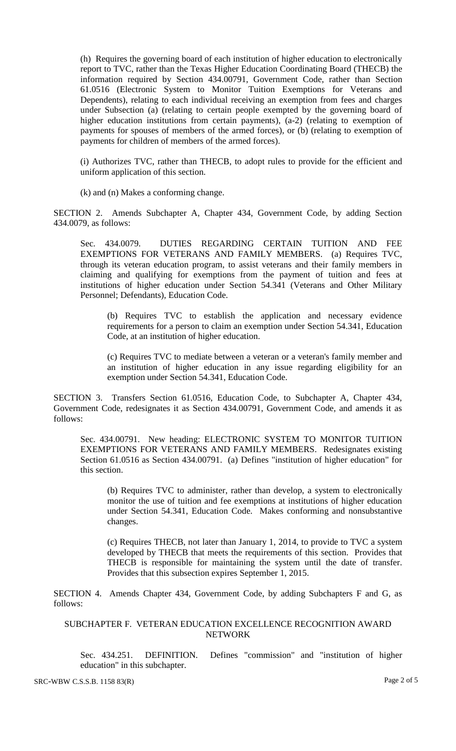(h) Requires the governing board of each institution of higher education to electronically report to TVC, rather than the Texas Higher Education Coordinating Board (THECB) the information required by Section 434.00791, Government Code, rather than Section 61.0516 (Electronic System to Monitor Tuition Exemptions for Veterans and Dependents), relating to each individual receiving an exemption from fees and charges under Subsection (a) (relating to certain people exempted by the governing board of higher education institutions from certain payments), (a-2) (relating to exemption of payments for spouses of members of the armed forces), or (b) (relating to exemption of payments for children of members of the armed forces).

(i) Authorizes TVC, rather than THECB, to adopt rules to provide for the efficient and uniform application of this section.

(k) and (n) Makes a conforming change.

SECTION 2. Amends Subchapter A, Chapter 434, Government Code, by adding Section 434.0079, as follows:

Sec. 434.0079. DUTIES REGARDING CERTAIN TUITION AND FEE EXEMPTIONS FOR VETERANS AND FAMILY MEMBERS. (a) Requires TVC, through its veteran education program, to assist veterans and their family members in claiming and qualifying for exemptions from the payment of tuition and fees at institutions of higher education under Section 54.341 (Veterans and Other Military Personnel; Defendants), Education Code.

(b) Requires TVC to establish the application and necessary evidence requirements for a person to claim an exemption under Section 54.341, Education Code, at an institution of higher education.

(c) Requires TVC to mediate between a veteran or a veteran's family member and an institution of higher education in any issue regarding eligibility for an exemption under Section 54.341, Education Code.

SECTION 3. Transfers Section 61.0516, Education Code, to Subchapter A, Chapter 434, Government Code, redesignates it as Section 434.00791, Government Code, and amends it as follows:

Sec. 434.00791. New heading: ELECTRONIC SYSTEM TO MONITOR TUITION EXEMPTIONS FOR VETERANS AND FAMILY MEMBERS. Redesignates existing Section 61.0516 as Section 434.00791. (a) Defines "institution of higher education" for this section.

(b) Requires TVC to administer, rather than develop, a system to electronically monitor the use of tuition and fee exemptions at institutions of higher education under Section 54.341, Education Code. Makes conforming and nonsubstantive changes.

(c) Requires THECB, not later than January 1, 2014, to provide to TVC a system developed by THECB that meets the requirements of this section. Provides that THECB is responsible for maintaining the system until the date of transfer. Provides that this subsection expires September 1, 2015.

SECTION 4. Amends Chapter 434, Government Code, by adding Subchapters F and G, as follows:

SUBCHAPTER F. VETERAN EDUCATION EXCELLENCE RECOGNITION AWARD NETWORK

Sec. 434.251. DEFINITION. Defines "commission" and "institution of higher education" in this subchapter.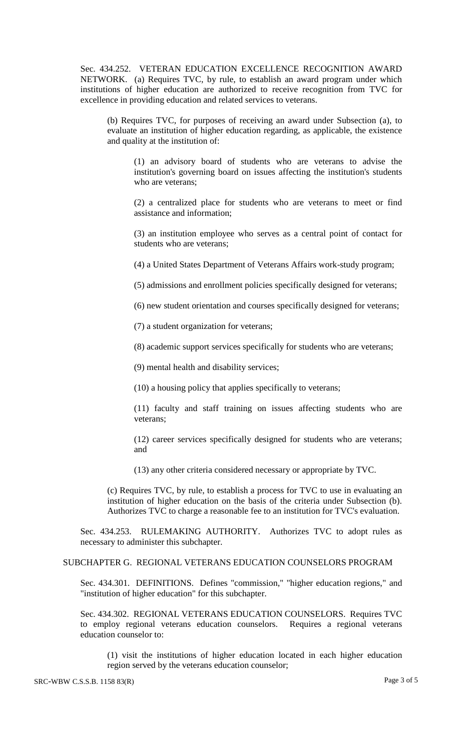Sec. 434.252. VETERAN EDUCATION EXCELLENCE RECOGNITION AWARD NETWORK. (a) Requires TVC, by rule, to establish an award program under which institutions of higher education are authorized to receive recognition from TVC for excellence in providing education and related services to veterans.

(b) Requires TVC, for purposes of receiving an award under Subsection (a), to evaluate an institution of higher education regarding, as applicable, the existence and quality at the institution of:

(1) an advisory board of students who are veterans to advise the institution's governing board on issues affecting the institution's students who are veterans;

(2) a centralized place for students who are veterans to meet or find assistance and information;

(3) an institution employee who serves as a central point of contact for students who are veterans;

(4) a United States Department of Veterans Affairs work-study program;

(5) admissions and enrollment policies specifically designed for veterans;

(6) new student orientation and courses specifically designed for veterans;

(7) a student organization for veterans;

(8) academic support services specifically for students who are veterans;

(9) mental health and disability services;

(10) a housing policy that applies specifically to veterans;

(11) faculty and staff training on issues affecting students who are veterans;

(12) career services specifically designed for students who are veterans; and

(13) any other criteria considered necessary or appropriate by TVC.

(c) Requires TVC, by rule, to establish a process for TVC to use in evaluating an institution of higher education on the basis of the criteria under Subsection (b). Authorizes TVC to charge a reasonable fee to an institution for TVC's evaluation.

Sec. 434.253. RULEMAKING AUTHORITY. Authorizes TVC to adopt rules as necessary to administer this subchapter.

# SUBCHAPTER G. REGIONAL VETERANS EDUCATION COUNSELORS PROGRAM

Sec. 434.301. DEFINITIONS. Defines "commission," "higher education regions," and "institution of higher education" for this subchapter.

Sec. 434.302. REGIONAL VETERANS EDUCATION COUNSELORS. Requires TVC to employ regional veterans education counselors. Requires a regional veterans education counselor to:

(1) visit the institutions of higher education located in each higher education region served by the veterans education counselor;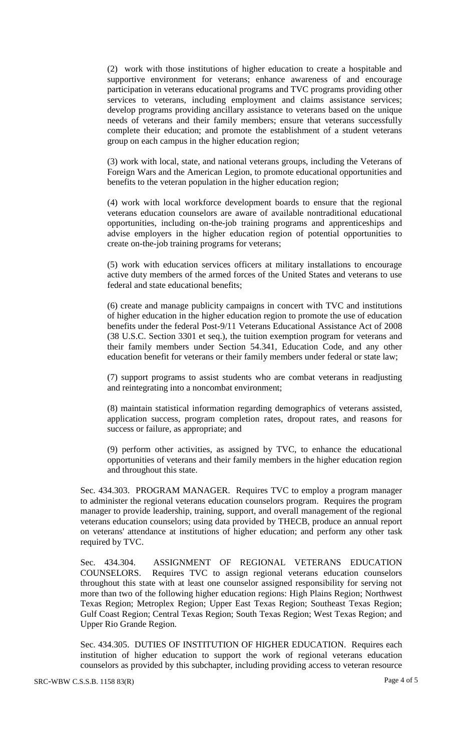(2) work with those institutions of higher education to create a hospitable and supportive environment for veterans; enhance awareness of and encourage participation in veterans educational programs and TVC programs providing other services to veterans, including employment and claims assistance services; develop programs providing ancillary assistance to veterans based on the unique needs of veterans and their family members; ensure that veterans successfully complete their education; and promote the establishment of a student veterans group on each campus in the higher education region;

(3) work with local, state, and national veterans groups, including the Veterans of Foreign Wars and the American Legion, to promote educational opportunities and benefits to the veteran population in the higher education region;

(4) work with local workforce development boards to ensure that the regional veterans education counselors are aware of available nontraditional educational opportunities, including on-the-job training programs and apprenticeships and advise employers in the higher education region of potential opportunities to create on-the-job training programs for veterans;

(5) work with education services officers at military installations to encourage active duty members of the armed forces of the United States and veterans to use federal and state educational benefits;

(6) create and manage publicity campaigns in concert with TVC and institutions of higher education in the higher education region to promote the use of education benefits under the federal Post-9/11 Veterans Educational Assistance Act of 2008 (38 U.S.C. Section 3301 et seq.), the tuition exemption program for veterans and their family members under Section 54.341, Education Code, and any other education benefit for veterans or their family members under federal or state law;

(7) support programs to assist students who are combat veterans in readjusting and reintegrating into a noncombat environment;

(8) maintain statistical information regarding demographics of veterans assisted, application success, program completion rates, dropout rates, and reasons for success or failure, as appropriate; and

(9) perform other activities, as assigned by TVC, to enhance the educational opportunities of veterans and their family members in the higher education region and throughout this state.

Sec. 434.303. PROGRAM MANAGER. Requires TVC to employ a program manager to administer the regional veterans education counselors program. Requires the program manager to provide leadership, training, support, and overall management of the regional veterans education counselors; using data provided by THECB, produce an annual report on veterans' attendance at institutions of higher education; and perform any other task required by TVC.

Sec. 434.304. ASSIGNMENT OF REGIONAL VETERANS EDUCATION COUNSELORS. Requires TVC to assign regional veterans education counselors throughout this state with at least one counselor assigned responsibility for serving not more than two of the following higher education regions: High Plains Region; Northwest Texas Region; Metroplex Region; Upper East Texas Region; Southeast Texas Region; Gulf Coast Region; Central Texas Region; South Texas Region; West Texas Region; and Upper Rio Grande Region.

Sec. 434.305. DUTIES OF INSTITUTION OF HIGHER EDUCATION. Requires each institution of higher education to support the work of regional veterans education counselors as provided by this subchapter, including providing access to veteran resource